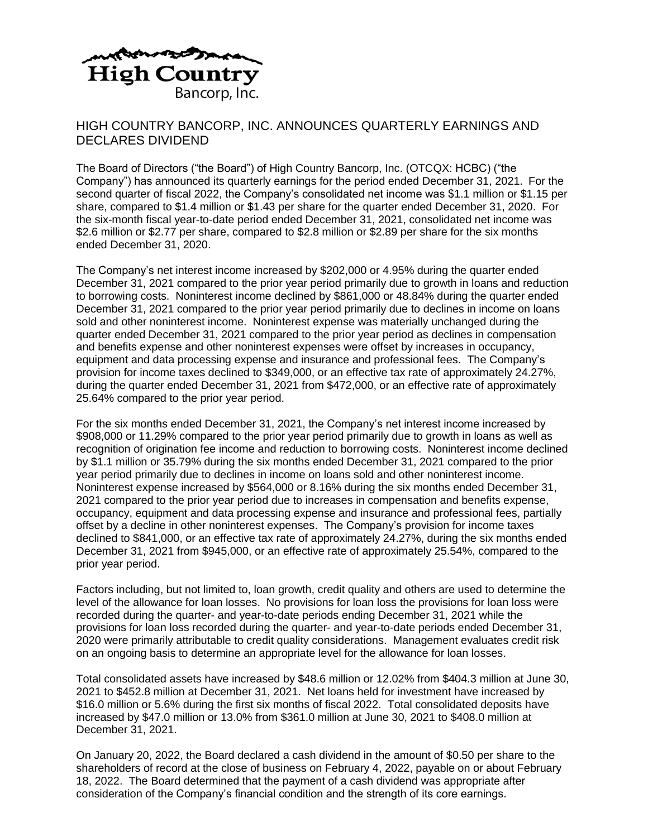

## HIGH COUNTRY BANCORP, INC. ANNOUNCES QUARTERLY EARNINGS AND DECLARES DIVIDEND

The Board of Directors ("the Board") of High Country Bancorp, Inc. (OTCQX: HCBC) ("the Company") has announced its quarterly earnings for the period ended December 31, 2021. For the second quarter of fiscal 2022, the Company's consolidated net income was \$1.1 million or \$1.15 per share, compared to \$1.4 million or \$1.43 per share for the quarter ended December 31, 2020. For the six-month fiscal year-to-date period ended December 31, 2021, consolidated net income was \$2.6 million or \$2.77 per share, compared to \$2.8 million or \$2.89 per share for the six months ended December 31, 2020.

The Company's net interest income increased by \$202,000 or 4.95% during the quarter ended December 31, 2021 compared to the prior year period primarily due to growth in loans and reduction to borrowing costs. Noninterest income declined by \$861,000 or 48.84% during the quarter ended December 31, 2021 compared to the prior year period primarily due to declines in income on loans sold and other noninterest income. Noninterest expense was materially unchanged during the quarter ended December 31, 2021 compared to the prior year period as declines in compensation and benefits expense and other noninterest expenses were offset by increases in occupancy, equipment and data processing expense and insurance and professional fees. The Company's provision for income taxes declined to \$349,000, or an effective tax rate of approximately 24.27%, during the quarter ended December 31, 2021 from \$472,000, or an effective rate of approximately 25.64% compared to the prior year period.

For the six months ended December 31, 2021, the Company's net interest income increased by \$908,000 or 11.29% compared to the prior year period primarily due to growth in loans as well as recognition of origination fee income and reduction to borrowing costs. Noninterest income declined by \$1.1 million or 35.79% during the six months ended December 31, 2021 compared to the prior year period primarily due to declines in income on loans sold and other noninterest income. Noninterest expense increased by \$564,000 or 8.16% during the six months ended December 31, 2021 compared to the prior year period due to increases in compensation and benefits expense, occupancy, equipment and data processing expense and insurance and professional fees, partially offset by a decline in other noninterest expenses. The Company's provision for income taxes declined to \$841,000, or an effective tax rate of approximately 24.27%, during the six months ended December 31, 2021 from \$945,000, or an effective rate of approximately 25.54%, compared to the prior year period.

Factors including, but not limited to, loan growth, credit quality and others are used to determine the level of the allowance for loan losses. No provisions for loan loss the provisions for loan loss were recorded during the quarter- and year-to-date periods ending December 31, 2021 while the provisions for loan loss recorded during the quarter- and year-to-date periods ended December 31, 2020 were primarily attributable to credit quality considerations. Management evaluates credit risk on an ongoing basis to determine an appropriate level for the allowance for loan losses.

Total consolidated assets have increased by \$48.6 million or 12.02% from \$404.3 million at June 30, 2021 to \$452.8 million at December 31, 2021. Net loans held for investment have increased by \$16.0 million or 5.6% during the first six months of fiscal 2022. Total consolidated deposits have increased by \$47.0 million or 13.0% from \$361.0 million at June 30, 2021 to \$408.0 million at December 31, 2021.

On January 20, 2022, the Board declared a cash dividend in the amount of \$0.50 per share to the shareholders of record at the close of business on February 4, 2022, payable on or about February 18, 2022. The Board determined that the payment of a cash dividend was appropriate after consideration of the Company's financial condition and the strength of its core earnings.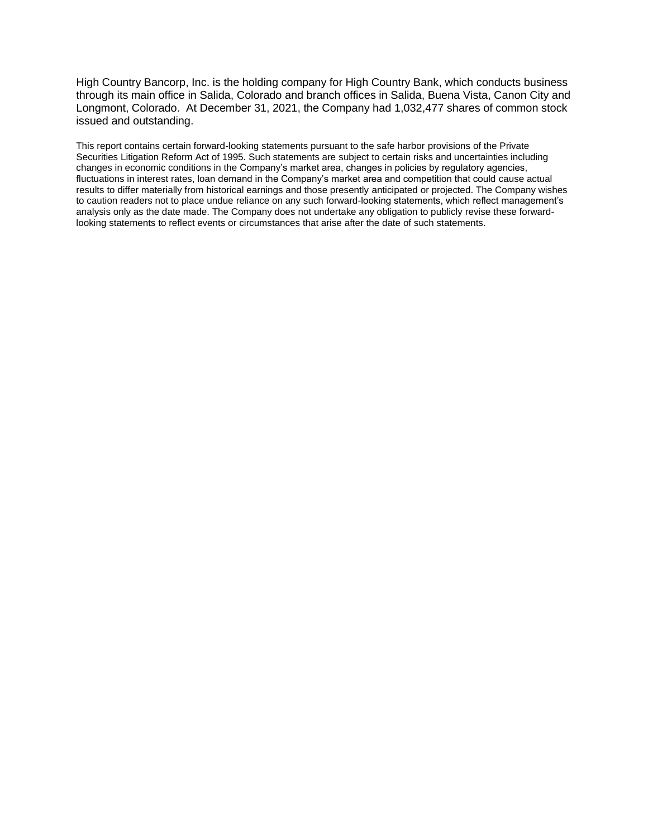High Country Bancorp, Inc. is the holding company for High Country Bank, which conducts business through its main office in Salida, Colorado and branch offices in Salida, Buena Vista, Canon City and Longmont, Colorado. At December 31, 2021, the Company had 1,032,477 shares of common stock issued and outstanding.

This report contains certain forward-looking statements pursuant to the safe harbor provisions of the Private Securities Litigation Reform Act of 1995. Such statements are subject to certain risks and uncertainties including changes in economic conditions in the Company's market area, changes in policies by regulatory agencies, fluctuations in interest rates, loan demand in the Company's market area and competition that could cause actual results to differ materially from historical earnings and those presently anticipated or projected. The Company wishes to caution readers not to place undue reliance on any such forward-looking statements, which reflect management's analysis only as the date made. The Company does not undertake any obligation to publicly revise these forwardlooking statements to reflect events or circumstances that arise after the date of such statements.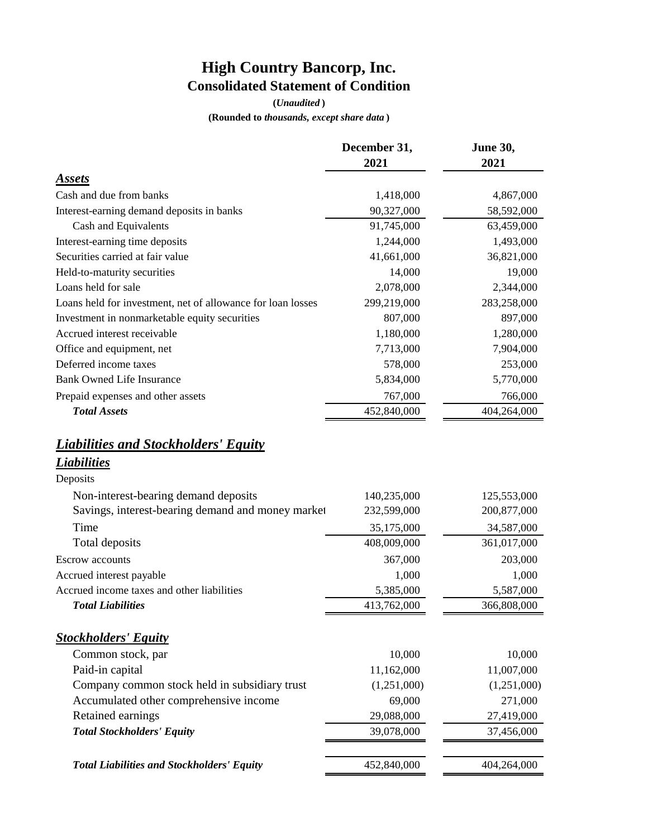## **High Country Bancorp, Inc. Consolidated Statement of Condition**

**(***Unaudited* **)**

**(Rounded to** *thousands, except share data* **)**

|                                                                               | December 31,<br>2021 | June 30,<br>2021 |  |  |
|-------------------------------------------------------------------------------|----------------------|------------------|--|--|
| <b>Assets</b>                                                                 |                      |                  |  |  |
| Cash and due from banks                                                       | 1,418,000            | 4,867,000        |  |  |
| Interest-earning demand deposits in banks                                     | 90,327,000           | 58,592,000       |  |  |
| Cash and Equivalents                                                          | 91,745,000           | 63,459,000       |  |  |
| Interest-earning time deposits                                                | 1,244,000            | 1,493,000        |  |  |
| Securities carried at fair value                                              | 41,661,000           | 36,821,000       |  |  |
| Held-to-maturity securities                                                   | 14,000               | 19,000           |  |  |
| Loans held for sale                                                           | 2,078,000            | 2,344,000        |  |  |
| Loans held for investment, net of allowance for loan losses                   | 299,219,000          | 283,258,000      |  |  |
| Investment in nonmarketable equity securities                                 | 807,000              | 897,000          |  |  |
| Accrued interest receivable                                                   | 1,180,000            | 1,280,000        |  |  |
| Office and equipment, net                                                     | 7,713,000            | 7,904,000        |  |  |
| Deferred income taxes                                                         | 578,000              | 253,000          |  |  |
| <b>Bank Owned Life Insurance</b>                                              | 5,834,000            | 5,770,000        |  |  |
| Prepaid expenses and other assets                                             | 767,000              | 766,000          |  |  |
| <b>Total Assets</b>                                                           | 452,840,000          | 404,264,000      |  |  |
| <b>Liabilities and Stockholders' Equity</b><br><b>Liabilities</b><br>Deposits |                      |                  |  |  |
| Non-interest-bearing demand deposits                                          | 140,235,000          | 125,553,000      |  |  |
| Savings, interest-bearing demand and money market                             | 232,599,000          | 200,877,000      |  |  |
| Time                                                                          | 35,175,000           | 34,587,000       |  |  |
| Total deposits                                                                | 408,009,000          | 361,017,000      |  |  |
| <b>Escrow</b> accounts                                                        | 367,000              | 203,000          |  |  |
| Accrued interest payable                                                      | 1,000                | 1,000            |  |  |
| Accrued income taxes and other liabilities                                    | 5,385,000            | 5,587,000        |  |  |
| <b>Total Liabilities</b>                                                      | 413,762,000          | 366,808,000      |  |  |
| <b>Stockholders' Equity</b>                                                   |                      |                  |  |  |
| Common stock, par                                                             | 10,000               | 10,000           |  |  |
| Paid-in capital                                                               | 11,162,000           | 11,007,000       |  |  |
| Company common stock held in subsidiary trust                                 | (1,251,000)          | (1,251,000)      |  |  |
| Accumulated other comprehensive income                                        | 69,000               | 271,000          |  |  |
| Retained earnings                                                             | 29,088,000           | 27,419,000       |  |  |
| <b>Total Stockholders' Equity</b>                                             | 39,078,000           | 37,456,000       |  |  |
| <b>Total Liabilities and Stockholders' Equity</b>                             | 452,840,000          | 404,264,000      |  |  |
|                                                                               |                      |                  |  |  |